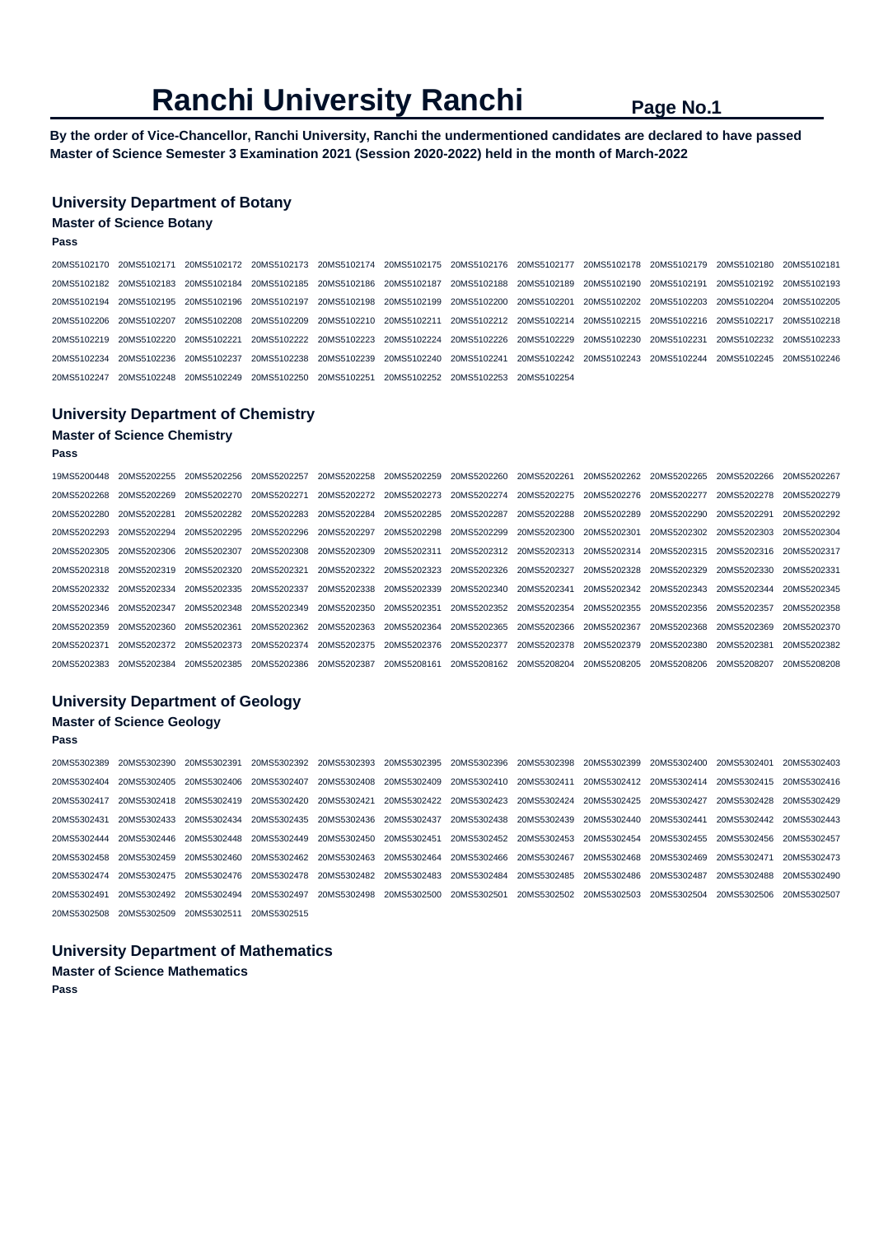**By the order of Vice-Chancellor, Ranchi University, Ranchi the undermentioned candidates are declared to have passed Master of Science Semester 3 Examination 2021 (Session 2020-2022) held in the month of March-2022** 

## **University Department of Botany**

### **Master of Science Botany**

**Pass** 

|  | 20MS5102170 20MS5102171 20MS5102172 20MS5102173 20MS5102174 20MS5102175 20MS5102176 20MS5102177 20MS5102178 20MS5102179 20MS5102181 20MS5102180 20MS5102181 |  |  |  |  |  |
|--|-------------------------------------------------------------------------------------------------------------------------------------------------------------|--|--|--|--|--|
|  | 20MS5102182 20MS5102183 20MS5102184 20MS5102185 20MS5102186 20MS5102187 20MS5102188 20MS5102189 20MS5102190 20MS5102191 20MS5102192 20MS5102193             |  |  |  |  |  |
|  | 20MS5102194 20MS5102195 20MS5102196 20MS5102197 20MS5102198 20MS5102199 20MS5102200 20MS5102201 20MS5102202 20MS5102203 20MS5102204 20MS5102205             |  |  |  |  |  |
|  | 20MS5102206 20MS5102207 20MS5102208 20MS5102209 20MS5102210 20MS5102211 20MS5102212 20MS5102214 20MS5102215 20MS5102216 20MS5102217 20MS5102218             |  |  |  |  |  |
|  | 20MS5102219 20MS5102220 20MS5102221 20MS5102222 20MS5102223 20MS5102224 20MS5102226 20MS5102229 20MS5102230 20MS5102231 20MS5102232 20MS5102233             |  |  |  |  |  |
|  | 20MS5102234 20MS5102236 20MS5102237 20MS5102238 20MS5102239 20MS5102240 20MS5102241 20MS5102242 20MS5102243 20MS5102244 20MS5102245 20MS5102246             |  |  |  |  |  |
|  | 20MS5102247 20MS5102248 20MS5102249 20MS5102250 20MS5102251 20MS5102252 20MS5102253 20MS5102254                                                             |  |  |  |  |  |

## **University Department of Chemistry**

## **Master of Science Chemistry**

**Pass** 

| 19MS5200448             | 20MS5202255                         | 20MS5202256 | 20MS5202257 | 20MS5202258                         | 20MS5202259             | 20MS5202260             | 20MS5202261                                     | 20MS5202262             | 20MS5202265 | 20MS5202266             | 20MS5202267 |
|-------------------------|-------------------------------------|-------------|-------------|-------------------------------------|-------------------------|-------------------------|-------------------------------------------------|-------------------------|-------------|-------------------------|-------------|
| 20MS5202268             | 20MS5202269                         | 20MS5202270 | 20MS5202271 | 20MS5202272                         | 20MS5202273             |                         | 20MS5202274 20MS5202275 20MS5202276             |                         | 20MS5202277 | 20MS5202278             | 20MS5202279 |
| 20MS5202280 20MS5202281 |                                     | 20MS5202282 |             | 20MS5202283 20MS5202284             | 20MS5202285             | 20MS5202287             | 20MS5202288 20MS5202289                         |                         | 20MS5202290 | 20MS5202291             | 20MS5202292 |
|                         | 20MS5202293 20MS5202294             | 20MS5202295 |             | 20MS5202296 20MS5202297             | 20MS5202298             | 20MS5202299             | 20MS5202300 20MS5202301                         |                         | 20MS5202302 | 20MS5202303             | 20MS5202304 |
|                         | 20MS5202305 20MS5202306             | 20MS5202307 |             | 20MS5202308 20MS5202309             | 20MS5202311             |                         | 20MS5202312 20MS5202313 20MS5202314 20MS5202315 |                         |             | 20MS5202316 20MS5202317 |             |
|                         | 20MS5202318 20MS5202319             | 20MS5202320 | 20MS5202321 |                                     | 20MS5202322 20MS5202323 |                         | 20MS5202326 20MS5202327 20MS5202328             |                         | 20MS5202329 | 20MS5202330             | 20MS5202331 |
|                         | 20MS5202332 20MS5202334 20MS5202335 |             |             | 20MS5202337 20MS5202338 20MS5202339 |                         | 20MS5202340 20MS5202341 |                                                 | 20MS5202342 20MS5202343 |             | 20MS5202344             | 20MS5202345 |
|                         | 20MS5202346 20MS5202347             | 20MS5202348 |             | 20MS5202349 20MS5202350             | 20MS5202351             |                         | 20MS5202352 20MS5202354 20MS5202355             |                         | 20MS5202356 | 20MS5202357             | 20MS5202358 |
| 20MS5202359             | 20MS5202360                         | 20MS5202361 |             | 20MS5202362 20MS5202363             | 20MS5202364             |                         | 20MS5202365 20MS5202366 20MS5202367             |                         | 20MS5202368 | 20MS5202369             | 20MS5202370 |
| 20MS5202371             | 20MS5202372                         | 20MS5202373 |             | 20MS5202374 20MS5202375             | 20MS5202376             | 20MS5202377             | 20MS5202378                                     | 20MS5202379             | 20MS5202380 | 20MS5202381             | 20MS5202382 |
| 20MS5202383             | 20MS5202384                         | 20MS5202385 |             | 20MS5202386 20MS5202387             | 20MS5208161             | 20MS5208162 20MS5208204 |                                                 | 20MS5208205             | 20MS5208206 | 20MS5208207             | 20MS5208208 |

## **University Department of Geology Master of Science Geology**

#### **Pass**

20MS5302389 20MS5302390 20MS5302391 20MS5302392 20MS5302393 20MS5302395 20MS5302396 20MS5302398 20MS5302399 20MS5302400 20MS5302401 20MS5302403 20MS5302404 20MS5302405 20MS5302406 20MS5302407 20MS5302408 20MS5302409 20MS5302410 20MS5302411 20MS5302412 20MS5302414 20MS5302415 20MS5302416 20MS5302417 20MS5302418 20MS5302419 20MS5302420 20MS5302421 20MS5302422 20MS5302423 20MS5302424 20MS5302425 20MS5302427 20MS5302428 20MS5302429 20MS5302431 20MS5302433 20MS5302434 20MS5302435 20MS5302436 20MS5302437 20MS5302438 20MS5302439 20MS5302440 20MS5302441 20MS5302442 20MS5302443 20MS5302444 20MS5302446 20MS5302448 20MS5302449 20MS5302450 20MS5302451 20MS5302452 20MS5302453 20MS5302454 20MS5302455 20MS5302456 20MS5302457 20MS5302458 20MS5302459 20MS5302460 20MS5302462 20MS5302463 20MS5302464 20MS5302466 20MS5302467 20MS5302468 20MS5302469 20MS5302471 20MS5302473 20MS5302474 20MS5302475 20MS5302476 20MS5302478 20MS5302482 20MS5302483 20MS5302484 20MS5302485 20MS5302486 20MS5302487 20MS5302488 20MS5302490 20MS5302491 20MS5302492 20MS5302494 20MS5302497 20MS5302498 20MS5302500 20MS5302501 20MS5302502 20MS5302503 20MS5302504 20MS5302506 20MS5302507 20MS5302508 20MS5302509 20MS5302511 20MS5302515

**University Department of Mathematics Master of Science Mathematics** 

**Pass**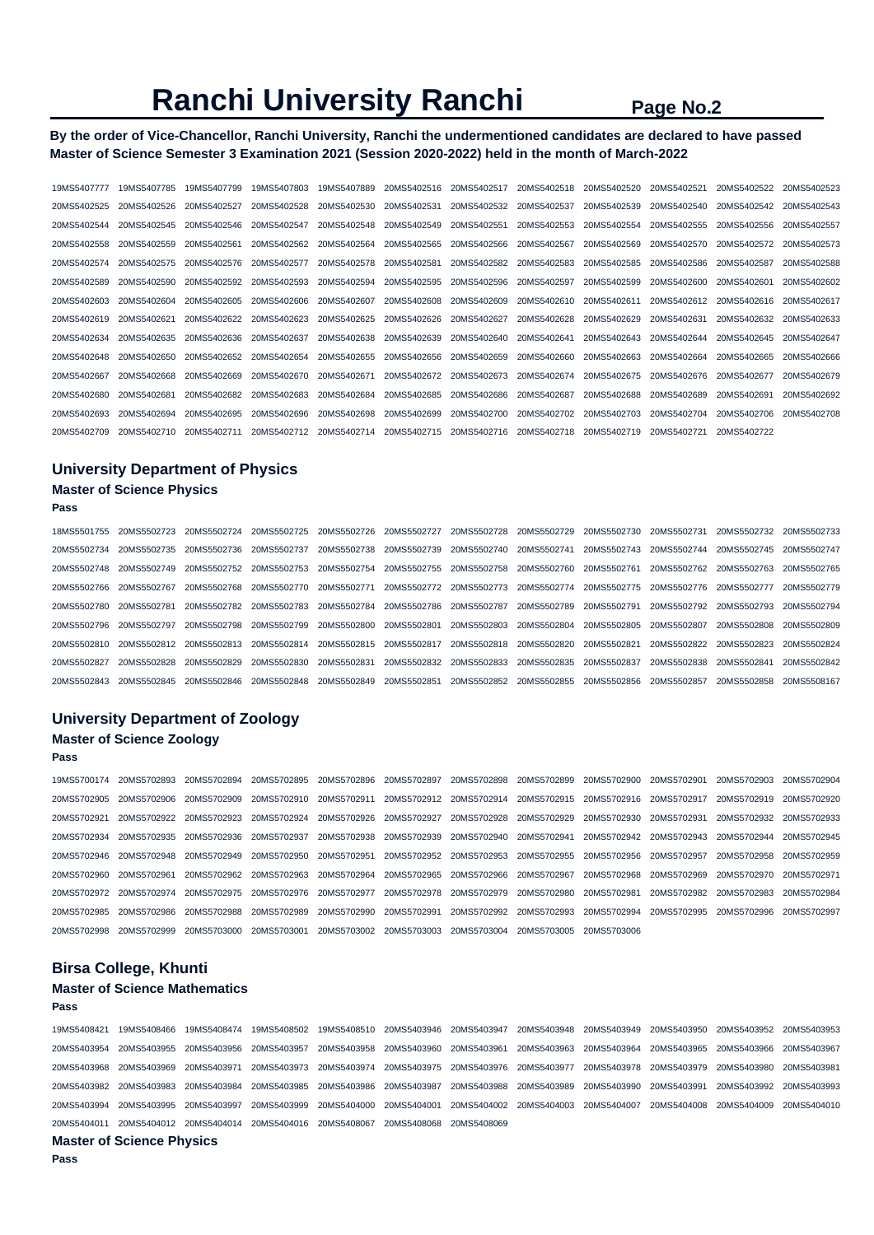### **By the order of Vice-Chancellor, Ranchi University, Ranchi the undermentioned candidates are declared to have passed Master of Science Semester 3 Examination 2021 (Session 2020-2022) held in the month of March-2022**

| 19MS5407777 | 19MS5407785 | 19MS5407799 | 19MS5407803 | 19MS5407889 | 20MS5402516 | 20MS5402517 | 20MS5402518 | 20MS5402520 | 20MS5402521 | 20MS5402522 | 20MS5402523 |
|-------------|-------------|-------------|-------------|-------------|-------------|-------------|-------------|-------------|-------------|-------------|-------------|
| 20MS5402525 | 20MS5402526 | 20MS5402527 | 20MS5402528 | 20MS5402530 | 20MS5402531 | 20MS5402532 | 20MS5402537 | 20MS5402539 | 20MS5402540 | 20MS5402542 | 20MS5402543 |
| 20MS5402544 | 20MS5402545 | 20MS5402546 | 20MS5402547 | 20MS5402548 | 20MS5402549 | 20MS5402551 | 20MS5402553 | 20MS5402554 | 20MS5402555 | 20MS5402556 | 20MS5402557 |
| 20MS5402558 | 20MS5402559 | 20MS5402561 | 20MS5402562 | 20MS5402564 | 20MS5402565 | 20MS5402566 | 20MS5402567 | 20MS5402569 | 20MS5402570 | 20MS5402572 | 20MS5402573 |
| 20MS5402574 | 20MS5402575 | 20MS5402576 | 20MS5402577 | 20MS5402578 | 20MS5402581 | 20MS5402582 | 20MS5402583 | 20MS5402585 | 20MS5402586 | 20MS5402587 | 20MS5402588 |
| 20MS5402589 | 20MS5402590 | 20MS5402592 | 20MS5402593 | 20MS5402594 | 20MS5402595 | 20MS5402596 | 20MS5402597 | 20MS5402599 | 20MS5402600 | 20MS5402601 | 20MS5402602 |
| 20MS5402603 | 20MS5402604 | 20MS5402605 | 20MS5402606 | 20MS5402607 | 20MS5402608 | 20MS5402609 | 20MS5402610 | 20MS5402611 | 20MS5402612 | 20MS5402616 | 20MS5402617 |
| 20MS5402619 | 20MS5402621 | 20MS5402622 | 20MS5402623 | 20MS5402625 | 20MS5402626 | 20MS5402627 | 20MS5402628 | 20MS5402629 | 20MS5402631 | 20MS5402632 | 20MS5402633 |
| 20MS5402634 | 20MS5402635 | 20MS5402636 | 20MS5402637 | 20MS5402638 | 20MS5402639 | 20MS5402640 | 20MS5402641 | 20MS5402643 | 20MS5402644 | 20MS5402645 | 20MS5402647 |
| 20MS5402648 | 20MS5402650 | 20MS5402652 | 20MS5402654 | 20MS5402655 | 20MS5402656 | 20MS5402659 | 20MS5402660 | 20MS5402663 | 20MS5402664 | 20MS5402665 | 20MS5402666 |
| 20MS5402667 | 20MS5402668 | 20MS5402669 | 20MS5402670 | 20MS5402671 | 20MS5402672 | 20MS5402673 | 20MS5402674 | 20MS5402675 | 20MS5402676 | 20MS5402677 | 20MS5402679 |
| 20MS5402680 | 20MS5402681 | 20MS5402682 | 20MS5402683 | 20MS5402684 | 20MS5402685 | 20MS5402686 | 20MS5402687 | 20MS5402688 | 20MS5402689 | 20MS5402691 | 20MS5402692 |
| 20MS5402693 | 20MS5402694 | 20MS5402695 | 20MS5402696 | 20MS5402698 | 20MS5402699 | 20MS5402700 | 20MS5402702 | 20MS5402703 | 20MS5402704 | 20MS5402706 | 20MS5402708 |
| 20MS5402709 | 20MS5402710 | 20MS5402711 | 20MS5402712 | 20MS5402714 | 20MS5402715 | 20MS5402716 | 20MS5402718 | 20MS5402719 | 20MS5402721 | 20MS5402722 |             |

# **University Department of Physics Master of Science Physics**

**Pass** 

**Pass** 

| 18MS5501755 | 20MS5502723 | 20MS5502724 | 20MS5502725 | 20MS5502726 | 20MS5502727 | 20MS5502728             | 20MS5502729                                     | 20MS5502730 | 20MS5502731             | 20MS5502732 | 20MS5502733 |
|-------------|-------------|-------------|-------------|-------------|-------------|-------------------------|-------------------------------------------------|-------------|-------------------------|-------------|-------------|
| 20MS5502734 | 20MS5502735 | 20MS5502736 | 20MS5502737 | 20MS5502738 | 20MS5502739 | 20MS5502740             | 20MS5502741                                     | 20MS5502743 | 20MS5502744             | 20MS5502745 | 20MS5502747 |
| 20MS5502748 | 20MS5502749 | 20MS5502752 | 20MS5502753 | 20MS5502754 | 20MS5502755 | 20MS5502758             | 20MS5502760                                     | 20MS5502761 | 20MS5502762             | 20MS5502763 | 20MS5502765 |
| 20MS5502766 | 20MS5502767 | 20MS5502768 | 20MS5502770 | 20MS5502771 |             |                         | 20MS5502772 20MS5502773 20MS5502774 20MS5502775 |             | 20MS5502776             | 20MS5502777 | 20MS5502779 |
| 20MS5502780 | 20MS5502781 | 20MS5502782 | 20MS5502783 | 20MS5502784 | 20MS5502786 | 20MS5502787             | 20MS5502789                                     | 20MS5502791 | 20MS5502792             | 20MS5502793 | 20MS5502794 |
| 20MS5502796 | 20MS5502797 | 20MS5502798 | 20MS5502799 | 20MS5502800 | 20MS5502801 | 20MS5502803             | 20MS5502804                                     | 20MS5502805 | 20MS5502807             | 20MS5502808 | 20MS5502809 |
| 20MS5502810 | 20MS5502812 | 20MS5502813 | 20MS5502814 | 20MS5502815 | 20MS5502817 | 20MS5502818             | 20MS5502820                                     | 20MS5502821 | 20MS5502822 20MS5502823 |             | 20MS5502824 |
| 20MS5502827 | 20MS5502828 | 20MS5502829 | 20MS5502830 | 20MS5502831 | 20MS5502832 | 20MS5502833             | 20MS5502835                                     | 20MS5502837 | 20MS5502838             | 20MS5502841 | 20MS5502842 |
| 20MS5502843 | 20MS5502845 | 20MS5502846 | 20MS5502848 | 20MS5502849 | 20MS5502851 | 20MS5502852 20MS5502855 |                                                 | 20MS5502856 | 20MS5502857             | 20MS5502858 | 20MS5508167 |

# **University Department of Zoology**

# **Master of Science Zoology**

19MS5700174 20MS5702893 20MS5702894 20MS5702895 20MS5702896 20MS5702897 20MS5702898 20MS5702899 20MS5702900 20MS5702901 20MS5702903 20MS5702904 20MS5702905 20MS5702906 20MS5702909 20MS5702910 20MS5702911 20MS5702912 20MS5702914 20MS5702915 20MS5702916 20MS5702917 20MS5702919 20MS5702920 20MS5702921 20MS5702922 20MS5702923 20MS5702924 20MS5702926 20MS5702927 20MS5702928 20MS5702929 20MS5702930 20MS5702931 20MS5702932 20MS5702933 20MS5702934 20MS5702935 20MS5702936 20MS5702937 20MS5702938 20MS5702939 20MS5702940 20MS5702941 20MS5702942 20MS5702943 20MS5702944 20MS5702945 20MS5702946 20MS5702948 20MS5702949 20MS5702950 20MS5702951 20MS5702952 20MS5702953 20MS5702955 20MS5702956 20MS5702957 20MS5702958 20MS5702959 20MS5702960 20MS5702961 20MS5702962 20MS5702963 20MS5702964 20MS5702965 20MS5702966 20MS5702967 20MS5702968 20MS5702969 20MS5702970 20MS5702971 20MS5702972 20MS5702974 20MS5702975 20MS5702976 20MS5702977 20MS5702978 20MS5702979 20MS5702980 20MS5702981 20MS5702982 20MS5702983 20MS5702984 20MS5702985 20MS5702986 20MS5702988 20MS5702989 20MS5702990 20MS5702991 20MS5702992 20MS5702993 20MS5702994 20MS5702995 20MS5702996 20MS5702997 20MS5702998 20MS5702999 20MS5703000 20MS5703001 20MS5703002 20MS5703003 20MS5703004 20MS5703005 20MS5703006

## **Birsa College, Khunti**

#### **Master of Science Mathematics Pass**

| Meater of Calcuse Dhireton                                                                                                                      |  |  |  |  |  |
|-------------------------------------------------------------------------------------------------------------------------------------------------|--|--|--|--|--|
| 20MS5404011 20MS5404012 20MS5404014 20MS5404016 20MS5408067 20MS5408068 20MS5408069                                                             |  |  |  |  |  |
| 20MS5403994 20MS5403995 20MS5403997 20MS5403999 20MS5404000 20MS5404001 20MS5404002 20MS5404003 20MS5404007 20MS5404008 20MS5404009 20MS5404010 |  |  |  |  |  |
| 20MS5403982 20MS5403983 20MS5403984 20MS5403985 20MS5403986 20MS5403987 20MS5403988 20MS5403989 20MS5403990 20MS5403991 20MS5403992 20MS5403992 |  |  |  |  |  |
| 20MS5403968 20MS5403969 20MS5403971 20MS5403973 20MS5403974 20MS5403975 20MS5403976 20MS5403977 20MS5403978 20MS5403979 20MS5403980 20MS5403980 |  |  |  |  |  |
| 20MS5403954 20MS5403955 20MS5403956 20MS5403957 20MS5403958 20MS5403960 20MS5403961                                                             |  |  |  |  |  |
| 19MS5408421 19MS5408466 19MS5408474 19MS5408502 19MS5408510 20MS5403946 20MS5403947 20MS5403948 20MS5403949 20MS5403950 20MS5403952 20MS5403953 |  |  |  |  |  |
|                                                                                                                                                 |  |  |  |  |  |

#### **Master of Science Physics**

**Pass**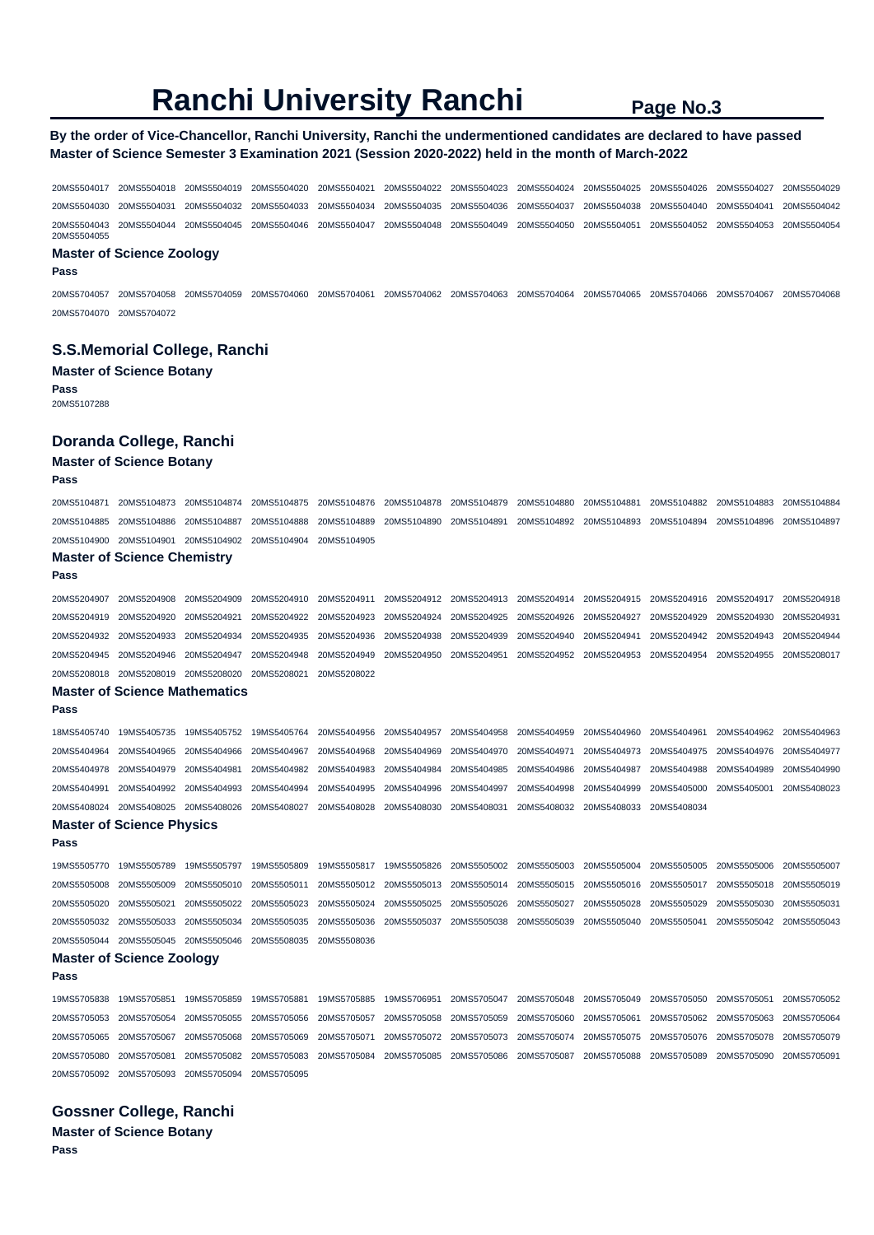## **By the order of Vice-Chancellor, Ranchi University, Ranchi the undermentioned candidates are declared to have passed Master of Science Semester 3 Examination 2021 (Session 2020-2022) held in the month of March-2022**

20MS5504017 20MS5504018 20MS5504019 20MS5504020 20MS5504021 20MS5504022 20MS5504023 20MS5504024 20MS5504025 20MS5504026 20MS5504027 20MS5504029 20MS5504030 20MS5504031 20MS5504032 20MS5504033 20MS5504034 20MS5504035 20MS5504036 20MS5504037 20MS5504038 20MS5504040 20MS5504041 20MS5504042 20MS5504043 20MS5504044 20MS5504045 20MS5504046 20MS5504047 20MS5504048 20MS5504049 20MS5504050 20MS5504051 20MS5504052 20MS5504053 20MS5504054 20MS5504055

#### **Master of Science Zoology**

**Pass** 

20MS5704057 20MS5704058 20MS5704059 20MS5704060 20MS5704061 20MS5704062 20MS5704063 20MS5704064 20MS5704065 20MS5704066 20MS5704067 20MS5704068 20MS5704070 20MS5704072

### **S.S.Memorial College, Ranchi**

#### **Master of Science Botany**

**Pass**  20MS5107288

### **Doranda College, Ranchi**

#### **Master of Science Botany**

#### **Pass**

| 20MS5104871 | 20MS5104873                          | 20MS5104874 | 20MS5104875 | 20MS5104876 | 20MS5104878 | 20MS5104879 | 20MS5104880 | 20MS5104881 | 20MS5104882 | 20MS5104883 | 20MS5104884 |
|-------------|--------------------------------------|-------------|-------------|-------------|-------------|-------------|-------------|-------------|-------------|-------------|-------------|
| 20MS5104885 | 20MS5104886                          | 20MS5104887 | 20MS5104888 | 20MS5104889 | 20MS5104890 | 20MS5104891 | 20MS5104892 | 20MS5104893 | 20MS5104894 | 20MS5104896 | 20MS5104897 |
|             | 20MS5104900 20MS5104901              | 20MS5104902 | 20MS5104904 | 20MS5104905 |             |             |             |             |             |             |             |
|             | <b>Master of Science Chemistry</b>   |             |             |             |             |             |             |             |             |             |             |
| Pass        |                                      |             |             |             |             |             |             |             |             |             |             |
| 20MS5204907 | 20MS5204908                          | 20MS5204909 | 20MS5204910 | 20MS5204911 | 20MS5204912 | 20MS5204913 | 20MS5204914 | 20MS5204915 | 20MS5204916 | 20MS5204917 | 20MS5204918 |
| 20MS5204919 | 20MS5204920                          | 20MS5204921 | 20MS5204922 | 20MS5204923 | 20MS5204924 | 20MS5204925 | 20MS5204926 | 20MS5204927 | 20MS5204929 | 20MS5204930 | 20MS5204931 |
| 20MS5204932 | 20MS5204933                          | 20MS5204934 | 20MS5204935 | 20MS5204936 | 20MS5204938 | 20MS5204939 | 20MS5204940 | 20MS5204941 | 20MS5204942 | 20MS5204943 | 20MS5204944 |
| 20MS5204945 | 20MS5204946                          | 20MS5204947 | 20MS5204948 | 20MS5204949 | 20MS5204950 | 20MS5204951 | 20MS5204952 | 20MS5204953 | 20MS5204954 | 20MS5204955 | 20MS5208017 |
|             | 20MS5208018 20MS5208019              | 20MS5208020 | 20MS5208021 | 20MS5208022 |             |             |             |             |             |             |             |
|             | <b>Master of Science Mathematics</b> |             |             |             |             |             |             |             |             |             |             |
| Pass        |                                      |             |             |             |             |             |             |             |             |             |             |
| 18MS5405740 | 19MS5405735                          | 19MS5405752 | 19MS5405764 | 20MS5404956 | 20MS5404957 | 20MS5404958 | 20MS5404959 | 20MS5404960 | 20MS5404961 | 20MS5404962 | 20MS5404963 |
| 20MS5404964 | 20MS5404965                          | 20MS5404966 | 20MS5404967 | 20MS5404968 | 20MS5404969 | 20MS5404970 | 20MS5404971 | 20MS5404973 | 20MS5404975 | 20MS5404976 | 20MS5404977 |
| 20MS5404978 | 20MS5404979                          | 20MS5404981 | 20MS5404982 | 20MS5404983 | 20MS5404984 | 20MS5404985 | 20MS5404986 | 20MS5404987 | 20MS5404988 | 20MS5404989 | 20MS5404990 |
| 20MS5404991 | 20MS5404992                          | 20MS5404993 | 20MS5404994 | 20MS5404995 | 20MS5404996 | 20MS5404997 | 20MS5404998 | 20MS5404999 | 20MS5405000 | 20MS5405001 | 20MS5408023 |
| 20MS5408024 | 20MS5408025                          | 20MS5408026 | 20MS5408027 | 20MS5408028 | 20MS5408030 | 20MS5408031 | 20MS5408032 | 20MS5408033 | 20MS5408034 |             |             |
|             | <b>Master of Science Physics</b>     |             |             |             |             |             |             |             |             |             |             |
| Pass        |                                      |             |             |             |             |             |             |             |             |             |             |
| 19MS5505770 | 19MS5505789                          | 19MS5505797 | 19MS5505809 | 19MS5505817 | 19MS5505826 | 20MS5505002 | 20MS5505003 | 20MS5505004 | 20MS5505005 | 20MS5505006 | 20MS5505007 |
| 20MS5505008 | 20MS5505009                          | 20MS5505010 | 20MS5505011 | 20MS5505012 | 20MS5505013 | 20MS5505014 | 20MS5505015 | 20MS5505016 | 20MS5505017 | 20MS5505018 | 20MS5505019 |
| 20MS5505020 | 20MS5505021                          | 20MS5505022 | 20MS5505023 | 20MS5505024 | 20MS5505025 | 20MS5505026 | 20MS5505027 | 20MS5505028 | 20MS5505029 | 20MS5505030 | 20MS5505031 |
| 20MS5505032 | 20MS5505033                          | 20MS5505034 | 20MS5505035 | 20MS5505036 | 20MS5505037 | 20MS5505038 | 20MS5505039 | 20MS5505040 | 20MS5505041 | 20MS5505042 | 20MS5505043 |
| 20MS5505044 | 20MS5505045                          | 20MS5505046 | 20MS5508035 | 20MS5508036 |             |             |             |             |             |             |             |
|             | <b>Master of Science Zoology</b>     |             |             |             |             |             |             |             |             |             |             |
| Pass        |                                      |             |             |             |             |             |             |             |             |             |             |
| 19MS5705838 | 19MS5705851                          | 19MS5705859 | 19MS5705881 | 19MS5705885 | 19MS5706951 | 20MS5705047 | 20MS5705048 | 20MS5705049 | 20MS5705050 | 20MS5705051 | 20MS5705052 |
| 20MS5705053 | 20MS5705054                          | 20MS5705055 | 20MS5705056 | 20MS5705057 | 20MS5705058 | 20MS5705059 | 20MS5705060 | 20MS5705061 | 20MS5705062 | 20MS5705063 | 20MS5705064 |
| 20MS5705065 | 20MS5705067                          | 20MS5705068 | 20MS5705069 | 20MS5705071 | 20MS5705072 | 20MS5705073 | 20MS5705074 | 20MS5705075 | 20MS5705076 | 20MS5705078 | 20MS5705079 |
| 20MS5705080 | 20MS5705081                          | 20MS5705082 | 20MS5705083 | 20MS5705084 | 20MS5705085 | 20MS5705086 | 20MS5705087 | 20MS5705088 | 20MS5705089 | 20MS5705090 | 20MS5705091 |
| 20MS5705092 | 20MS5705093                          | 20MS5705094 | 20MS5705095 |             |             |             |             |             |             |             |             |

- **Gossner College, Ranchi**
- **Master of Science Botany Pass**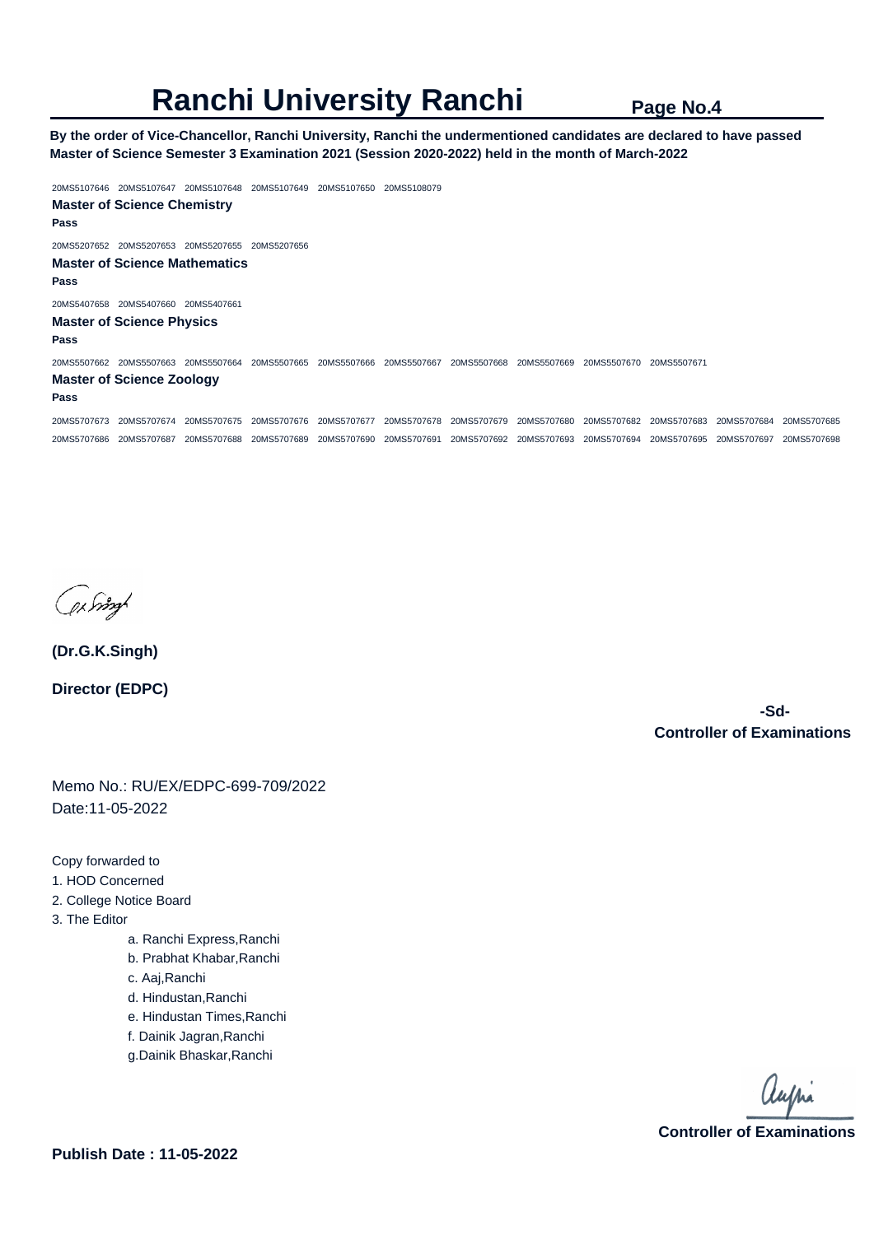**By the order of Vice-Chancellor, Ranchi University, Ranchi the undermentioned candidates are declared to have passed Master of Science Semester 3 Examination 2021 (Session 2020-2022) held in the month of March-2022** 

20MS5107646 20MS5107647 20MS5107648 20MS5107649 20MS5107650 20MS5108079 **Master of Science Chemistry Pass**  20MS5207652 20MS5207653 20MS5207655 20MS5207656 **Master of Science Mathematics Pass**  20MS5407658 20MS5407660 20MS5407661 **Master of Science Physics Pass**  20MS5507662 20MS5507663 20MS5507664 20MS5507665 20MS5507666 20MS5507667 20MS5507668 20MS5507669 20MS5507670 20MS5507671 **Master of Science Zoology Pass**  20MS5707673 20MS5707674 20MS5707675 20MS5707676 20MS5707677 20MS5707678 20MS5707679 20MS5707680 20MS5707682 20MS5707683 20MS5707684 20MS5707685 20MS5707686 20MS5707687 20MS5707688 20MS5707689 20MS5707690 20MS5707691 20MS5707692 20MS5707693 20MS5707694 20MS5707695 20MS5707697 20MS5707698

by right

**(Dr.G.K.Singh) Director (EDPC)**

 **-Sd-Controller of Examinations** 

Memo No.: RU/EX/EDPC-699-709/2022 Date:11-05-2022

Copy forwarded to

- 1. HOD Concerned
- 2. College Notice Board
- 3. The Editor
	- a. Ranchi Express,Ranchi
	- b. Prabhat Khabar,Ranchi
	- c. Aaj,Ranchi
	- d. Hindustan,Ranchi
	- e. Hindustan Times,Ranchi
	- f. Dainik Jagran,Ranchi
	- g.Dainik Bhaskar,Ranchi

aupri **Controller of Examinations**

**Publish Date : 11-05-2022**